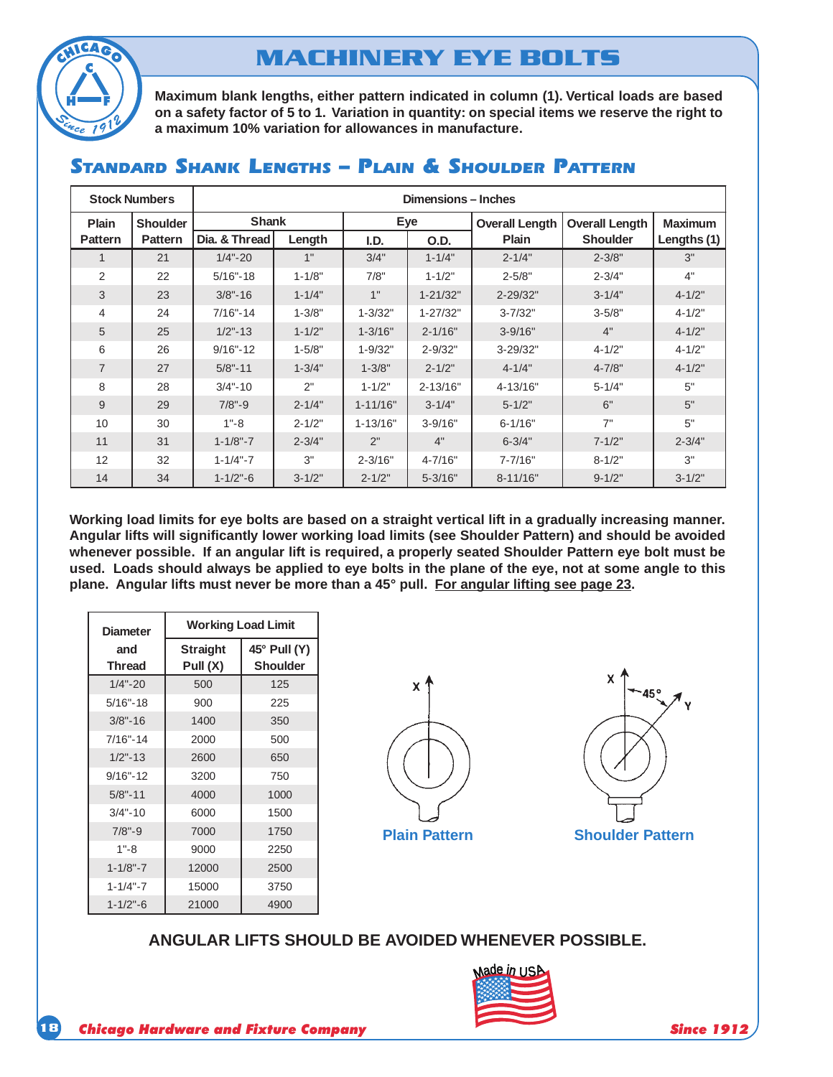

# **MACHINERY EYE BOLTS**

**Maximum blank lengths, either pattern indicated in column (1). Vertical loads are based on a safety factor of 5 to 1. Variation in quantity: on special items we reserve the right to a maximum 10% variation for allowances in manufacture.**

| <b>Stock Numbers</b> |                 | Dimensions - Inches |            |              |              |                       |                       |                |
|----------------------|-----------------|---------------------|------------|--------------|--------------|-----------------------|-----------------------|----------------|
| <b>Plain</b>         | <b>Shoulder</b> | Shank               |            | Eye          |              | <b>Overall Length</b> | <b>Overall Length</b> | <b>Maximum</b> |
| <b>Pattern</b>       | <b>Pattern</b>  | Dia, & Thread       | Length     | I.D.         | O.D.         | <b>Plain</b>          | <b>Shoulder</b>       | Lengths (1)    |
| 1                    | 21              | $1/4 - 20$          | 1"         | 3/4"         | $1 - 1/4"$   | $2 - 1/4"$            | $2 - 3/8"$            | 3"             |
| 2                    | 22              | $5/16 - 18$         | $1 - 1/8"$ | 7/8"         | $1 - 1/2"$   | $2 - 5/8"$            | $2 - 3/4"$            | 4"             |
| 3                    | 23              | $3/8 - 16$          | $1 - 1/4"$ | 1"           | $1 - 21/32"$ | $2 - 29/32"$          | $3 - 1/4"$            | $4 - 1/2"$     |
| $\overline{4}$       | 24              | $7/16" - 14$        | $1 - 3/8"$ | $1 - 3/32"$  | $1 - 27/32"$ | $3 - 7/32"$           | $3 - 5/8"$            | $4 - 1/2"$     |
| 5                    | 25              | $1/2" - 13$         | $1 - 1/2"$ | $1 - 3/16"$  | $2 - 1/16"$  | $3 - 9/16"$           | 4"                    | $4 - 1/2"$     |
| 6                    | 26              | $9/16 - 12$         | $1 - 5/8"$ | $1 - 9/32"$  | $2 - 9/32"$  | 3-29/32"              | $4 - 1/2"$            | $4 - 1/2"$     |
| $\overline{7}$       | 27              | $5/8" - 11$         | $1 - 3/4"$ | $1 - 3/8"$   | $2 - 1/2"$   | $4 - 1/4"$            | $4 - 7/8"$            | $4 - 1/2"$     |
| 8                    | 28              | $3/4 - 10$          | 2"         | $1 - 1/2"$   | $2 - 13/16"$ | 4-13/16"              | $5 - 1/4"$            | 5"             |
| 9                    | 29              | $7/8" - 9$          | $2 - 1/4"$ | $1 - 11/16"$ | $3 - 1/4"$   | $5 - 1/2"$            | 6"                    | 5"             |
| 10                   | 30              | $1 - 8$             | $2 - 1/2"$ | $1 - 13/16"$ | $3 - 9/16"$  | $6 - 1/16"$           | 7"                    | 5"             |
| 11                   | 31              | $1 - 1/8" - 7$      | $2 - 3/4"$ | 2"           | 4"           | $6 - 3/4"$            | $7 - 1/2"$            | $2 - 3/4"$     |
| 12                   | 32              | $1 - 1/4 - 7$       | 3"         | $2 - 3/16"$  | $4 - 7/16"$  | $7 - 7/16"$           | $8 - 1/2"$            | 3"             |
| 14                   | 34              | $1 - 1/2" - 6$      | $3 - 1/2"$ | $2 - 1/2"$   | $5 - 3/16"$  | $8 - 11/16"$          | $9 - 1/2"$            | $3 - 1/2"$     |

### STANDARD SHANK LENGTHS - PLAIN & SHOULDER PATTERN

**Working load limits for eye bolts are based on a straight vertical lift in a gradually increasing manner. Angular lifts will significantly lower working load limits (see Shoulder Pattern) and should be avoided whenever possible. If an angular lift is required, a properly seated Shoulder Pattern eye bolt must be used. Loads should always be applied to eye bolts in the plane of the eye, not at some angle to this plane. Angular lifts must never be more than a 45° pull. For angular lifting see page 23.**

| <b>Diameter</b> | <b>Working Load Limit</b>   |                                 |  |  |  |
|-----------------|-----------------------------|---------------------------------|--|--|--|
| and<br>Thread   | <b>Straight</b><br>Pull (X) | 45° Pull (Y)<br><b>Shoulder</b> |  |  |  |
| $1/4 - 20$      | 500                         | 125                             |  |  |  |
| $5/16 - 18$     | 900                         | 225                             |  |  |  |
| $3/8" - 16$     | 1400                        | 350                             |  |  |  |
| $7/16 - 14$     | 2000                        | 500                             |  |  |  |
| $1/2" - 13$     | 2600                        | 650                             |  |  |  |
| $9/16 - 12$     | 3200                        | 750                             |  |  |  |
| $5/8" - 11$     | 4000                        | 1000                            |  |  |  |
| $3/4 - 10$      | 6000                        | 1500                            |  |  |  |
| $7/8" - 9$      | 7000                        | 1750                            |  |  |  |
| $1 - 8$         | 9000                        | 2250                            |  |  |  |
| $1 - 1/8" - 7$  | 12000                       | 2500                            |  |  |  |
| $1 - 1/4 - 7$   | 15000                       | 3750                            |  |  |  |
| $1 - 1/2" - 6$  | 21000                       | 4900                            |  |  |  |





#### **ANGULAR LIFTS SHOULD BE AVOIDED WHENEVER POSSIBLE.**

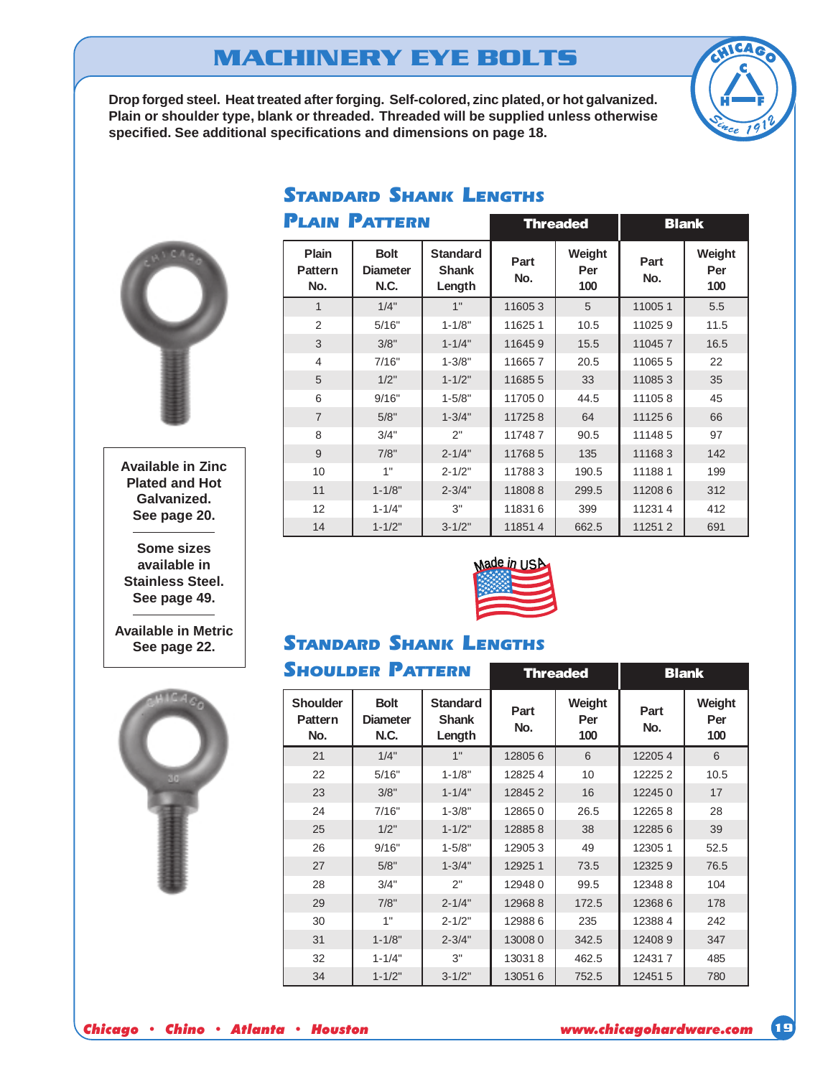# **MACHINERY EYE BOLTS**

**Drop forged steel. Heat treated after forging. Self-colored, zinc plated, or hot galvanized. Plain or shoulder type, blank or threaded. Threaded will be supplied unless otherwise specified. See additional specifications and dimensions on page 18.**

**STANDARD SHANK LENGTHS** 





**Available in Zinc Plated and Hot Galvanized. See page 20.**

**Some sizes available in Stainless Steel. See page 49.**

**Available in Metric See page 22.**



|                                       | <b>PLAIN PATTERN</b>                   |                                           |             | <b>Threaded</b>      |             | <b>Blank</b>         |
|---------------------------------------|----------------------------------------|-------------------------------------------|-------------|----------------------|-------------|----------------------|
| <b>Plain</b><br><b>Pattern</b><br>No. | <b>Bolt</b><br><b>Diameter</b><br>N.C. | <b>Standard</b><br><b>Shank</b><br>Length | Part<br>No. | Weight<br>Per<br>100 | Part<br>No. | Weight<br>Per<br>100 |
| $\mathbf{1}$                          | 1/4"                                   | 1"                                        | 116053      | 5                    | 110051      | 5.5                  |
| 2                                     | 5/16"                                  | $1 - 1/8"$                                | 116251      | 10.5                 | 110259      | 11.5                 |
| 3                                     | 3/8"                                   | $1 - 1/4"$                                | 116459      | 15.5                 | 110457      | 16.5                 |
| 4                                     | 7/16"                                  | $1 - 3/8"$                                | 116657      | 20.5                 | 110655      | 22                   |
| 5                                     | 1/2"                                   | $1 - 1/2"$                                | 116855      | 33                   | 110853      | 35                   |
| 6                                     | 9/16"                                  | $1 - 5/8"$                                | 117050      | 44.5                 | 111058      | 45                   |
| $\overline{7}$                        | 5/8"                                   | $1 - 3/4"$                                | 117258      | 64                   | 111256      | 66                   |
| 8                                     | 3/4"                                   | 2"                                        | 117487      | 90.5                 | 111485      | 97                   |
| 9                                     | 7/8"                                   | $2 - 1/4"$                                | 117685      | 135                  | 111683      | 142                  |
| 10                                    | 1"                                     | $2 - 1/2"$                                | 117883      | 190.5                | 111881      | 199                  |
| 11                                    | $1 - 1/8"$                             | $2 - 3/4"$                                | 118088      | 299.5                | 112086      | 312                  |
| 12                                    | $1 - 1/4"$                             | 3"                                        | 118316      | 399                  | 112314      | 412                  |
| 14                                    | $1 - 1/2"$                             | $3 - 1/2"$                                | 118514      | 662.5                | 112512      | 691                  |



## **STANDARD SHANK LENGTHS**

| <b>SHOULDER PATTERN</b>                  |                                        |                                           |             | <b>Threaded</b>      |             | <b>Blank</b>         |
|------------------------------------------|----------------------------------------|-------------------------------------------|-------------|----------------------|-------------|----------------------|
| <b>Shoulder</b><br><b>Pattern</b><br>No. | <b>Bolt</b><br><b>Diameter</b><br>N.C. | <b>Standard</b><br><b>Shank</b><br>Length | Part<br>No. | Weight<br>Per<br>100 | Part<br>No. | Weight<br>Per<br>100 |
| 21                                       | 1/4"                                   | 1"                                        | 128056      | 6                    | 122054      | 6                    |
| 22                                       | 5/16"                                  | $1 - 1/8"$                                | 128254      | 10                   | 122252      | 10.5                 |
| 23                                       | 3/8"                                   | $1 - 1/4"$                                | 128452      | 16                   | 122450      | 17                   |
| 24                                       | 7/16"                                  | $1 - 3/8"$                                | 128650      | 26.5                 | 122658      | 28                   |
| 25                                       | 1/2"                                   | $1 - 1/2"$                                | 128858      | 38                   | 122856      | 39                   |
| 26                                       | 9/16"                                  | $1 - 5/8"$                                | 129053      | 49                   | 123051      | 52.5                 |
| 27                                       | 5/8"                                   | $1 - 3/4"$                                | 129251      | 73.5                 | 123259      | 76.5                 |
| 28                                       | 3/4"                                   | 2"                                        | 129480      | 99.5                 | 123488      | 104                  |
| 29                                       | 7/8"                                   | $2 - 1/4"$                                | 129688      | 172.5                | 123686      | 178                  |
| 30                                       | 1"                                     | $2 - 1/2"$                                | 129886      | 235                  | 123884      | 242                  |
| 31                                       | $1 - 1/8"$                             | $2 - 3/4"$                                | 130080      | 342.5                | 124089      | 347                  |
| 32                                       | $1 - 1/4"$                             | 3"                                        | 130318      | 462.5                | 124317      | 485                  |
| 34                                       | $1 - 1/2"$                             | $3 - 1/2"$                                | 130516      | 752.5                | 124515      | 780                  |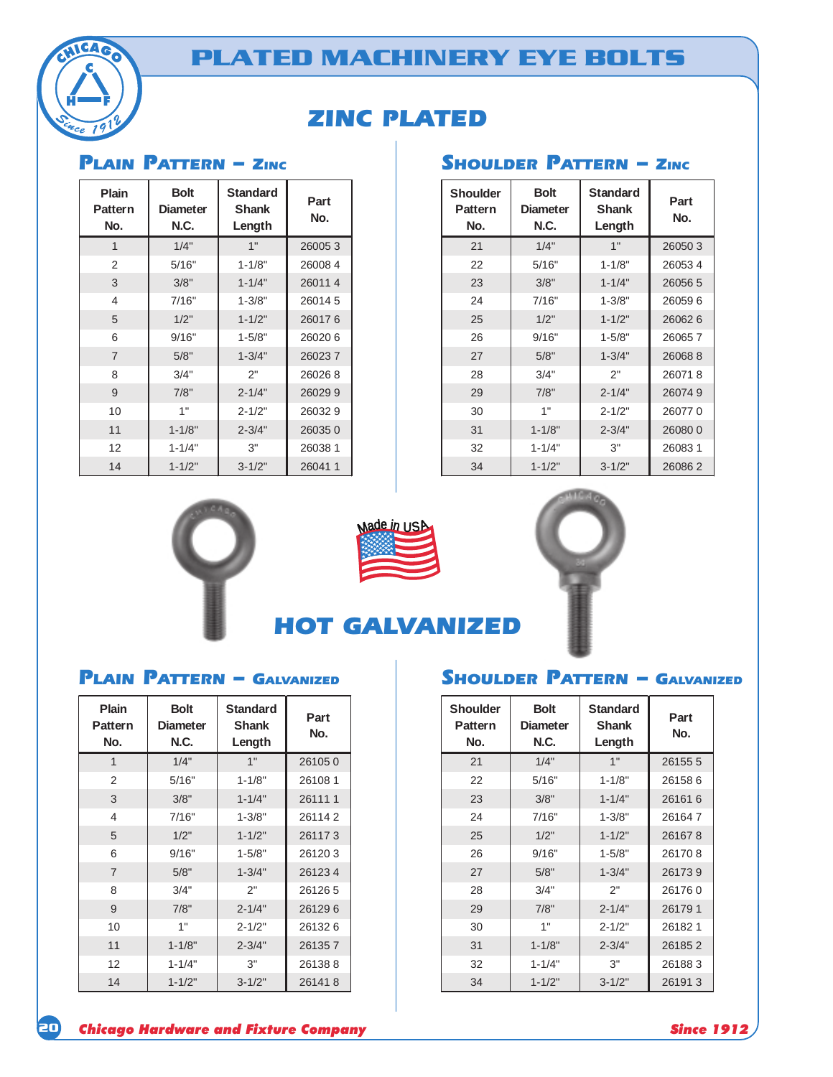



## **ZINC PLATED**

### **PLAIN PATTERN - ZIN**

| Plain<br><b>Pattern</b><br>No. | <b>Bolt</b><br><b>Diameter</b><br><b>N.C.</b> | <b>Standard</b><br><b>Shank</b><br>Length | Part<br>No. |
|--------------------------------|-----------------------------------------------|-------------------------------------------|-------------|
| 1                              | 1/4"                                          | 1"                                        | 260053      |
| $\overline{2}$                 | 5/16"                                         | $1 - 1/8"$                                | 260084      |
| 3                              | 3/8"                                          | $1 - 1/4"$                                | 260114      |
| 4                              | 7/16"                                         | $1 - 3/8"$                                | 260145      |
| 5                              | 1/2"                                          | $1 - 1/2"$                                | 260176      |
| 6                              | 9/16"                                         | $1 - 5/8"$                                | 260206      |
| $\overline{7}$                 | 5/8"                                          | $1 - 3/4"$                                | 260237      |
| 8                              | 3/4"                                          | 2"                                        | 260268      |
| 9                              | 7/8"                                          | $2 - 1/4"$                                | 260299      |
| 10                             | 1"                                            | $2 - 1/2"$                                | 260329      |
| 11                             | $1 - 1/8"$                                    | $2 - 3/4"$                                | 260350      |
| 12                             | $1 - 1/4"$                                    | 3"                                        | 26038 1     |
| 14                             | $1 - 1/2"$                                    | $3 - 1/2"$                                | 260411      |

| Shoulder<br><b>Pattern</b><br>No. | <b>Bolt</b><br><b>Diameter</b><br>N.C. | <b>Standard</b><br><b>Shank</b><br>Length | Part<br>No. |
|-----------------------------------|----------------------------------------|-------------------------------------------|-------------|
| 21                                | 1/4"                                   | 1"                                        | 260503      |
| 22                                | 5/16"                                  | $1 - 1/8"$                                | 260534      |
| 23                                | 3/8"                                   | $1 - 1/4"$                                | 260565      |
| 24                                | 7/16"                                  | $1 - 3/8"$                                | 260596      |
| 25                                | 1/2"                                   | $1 - 1/2"$                                | 260626      |
| 26                                | 9/16"                                  | $1 - 5/8"$                                | 260657      |
| 27                                | 5/8"                                   | $1 - 3/4"$                                | 260688      |
| 28                                | 3/4"                                   | 2"                                        | 260718      |
| 29                                | 7/8"                                   | $2 - 1/4"$                                | 260749      |
| 30                                | 1"                                     | $2 - 1/2"$                                | 260770      |
| 31                                | $1 - 1/8"$                             | $2 - 3/4"$                                | 260800      |
| 32                                | $1 - 1/4"$                             | 3"                                        | 260831      |
| 34                                | $1 - 1/2"$                             | $3 - 1/2"$                                | 260862      |





**HOT GALVANIZED** 



### **PLAIN PATTERN - GALVAN**

| Plain<br><b>Pattern</b><br>No. | <b>Bolt</b><br><b>Diameter</b><br>N.C. | <b>Standard</b><br>Shank<br>Length | Part<br>No. |
|--------------------------------|----------------------------------------|------------------------------------|-------------|
| $\overline{1}$                 | 1/4"                                   | 1"                                 | 261050      |
| 2                              | 5/16"                                  | $1 - 1/8"$                         | 261081      |
| 3                              | 3/8"                                   | $1 - 1/4"$                         | 261111      |
| 4                              | 7/16"                                  | $1 - 3/8"$                         | 261142      |
| 5                              | 1/2"                                   | $1 - 1/2"$                         | 261173      |
| 6                              | 9/16"                                  | $1 - 5/8"$                         | 261203      |
| $\overline{7}$                 | 5/8"                                   | $1 - 3/4"$                         | 261234      |
| 8                              | 3/4"                                   | 2"                                 | 261265      |
| 9                              | 7/8"                                   | $2 - 1/4"$                         | 261296      |
| 10                             | 1"                                     | $2 - 1/2"$                         | 261326      |
| 11                             | $1 - 1/8"$                             | $2 - 3/4"$                         | 261357      |
| 12                             | $1 - 1/4"$                             | 3"                                 | 261388      |
| 14                             | $1 - 1/2"$                             | $3 - 1/2"$                         | 261418      |

### IZED **SHOULDER PATTERN – G**ALVANIZED

| <b>Shoulder</b><br><b>Pattern</b><br>No. | <b>Bolt</b><br><b>Diameter</b><br>N.C. | <b>Standard</b><br><b>Shank</b><br>Length | Part<br>No. |
|------------------------------------------|----------------------------------------|-------------------------------------------|-------------|
| 21                                       | 1/4"                                   | 1"                                        | 261555      |
| 22                                       | 5/16"                                  | $1 - 1/8"$                                | 261586      |
| 23                                       | 3/8"                                   | $1 - 1/4"$                                | 261616      |
| 24                                       | 7/16"                                  | $1 - 3/8"$                                | 261647      |
| 25                                       | 1/2"                                   | $1 - 1/2"$                                | 261678      |
| 26                                       | 9/16"                                  | $1 - 5/8"$                                | 261708      |
| 27                                       | 5/8"                                   | $1 - 3/4"$                                | 261739      |
| 28                                       | 3/4"                                   | 2"                                        | 261760      |
| 29                                       | 7/8"                                   | $2 - 1/4"$                                | 261791      |
| 30                                       | 1"                                     | $2 - 1/2"$                                | 261821      |
| 31                                       | $1 - 1/8"$                             | $2 - 3/4"$                                | 261852      |
| 32                                       | $1 - 1/4"$                             | 3"                                        | 261883      |
| 34                                       | $1 - 1/2"$                             | $3 - 1/2"$                                | 261913      |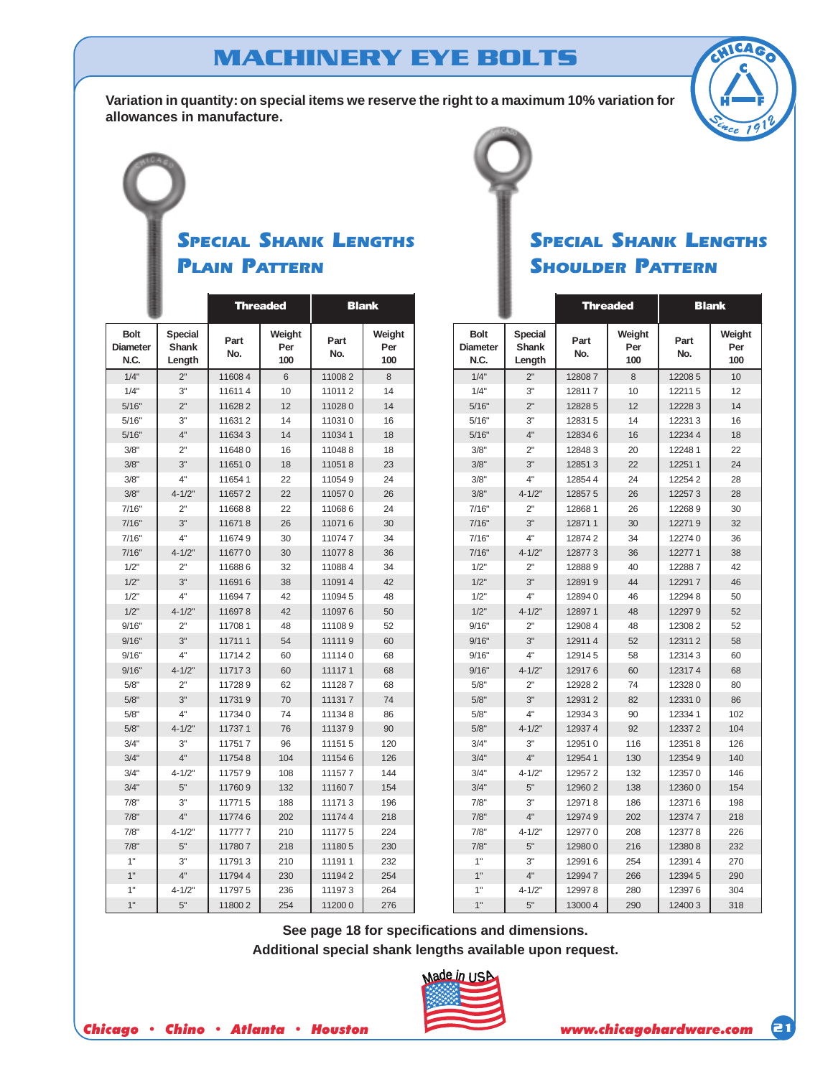# **MACHINERY EYE BOLTS**

**Variation in quantity: on special items we reserve the right to a maximum 10% variation for allowances in manufacture.**



## **SPECIAL SHANK LENGTHS PLAIN PATTERN**

|                                        |                                   |             | <b>Threaded</b>      | <b>Blank</b> |                      |  |
|----------------------------------------|-----------------------------------|-------------|----------------------|--------------|----------------------|--|
| <b>Bolt</b><br><b>Diameter</b><br>N.C. | <b>Special</b><br>Shank<br>Length | Part<br>No. | Weight<br>Per<br>100 | Part<br>No.  | Weight<br>Per<br>100 |  |
| 1/4"                                   | 2"                                | 116084      | 6                    | 110082       | 8                    |  |
| 1/4"                                   | 3"                                | 116114      | 10                   | 110112       | 14                   |  |
| 5/16"                                  | 2"                                | 116282      | 12                   | 110280       | 14                   |  |
| 5/16"                                  | 3"                                | 116312      | 14                   | 110310       | 16                   |  |
| 5/16"                                  | 4"                                | 116343      | 14                   | 110341       | 18                   |  |
| 3/8"                                   | 2"                                | 116480      | 16                   | 110488       | 18                   |  |
| 3/8"                                   | 3"                                | 116510      | 18                   | 110518       | 23                   |  |
| 3/8"                                   | 4"                                | 116541      | 22                   | 110549       | 24                   |  |
| 3/8"                                   | $4 - 1/2"$                        | 116572      | 22                   | 110570       | 26                   |  |
| 7/16"                                  | 2"                                | 116688      | 22                   | 110686       | 24                   |  |
| 7/16"                                  | 3"                                | 116718      | 26                   | 110716       | 30                   |  |
| 7/16"                                  | 4"                                | 116749      | 30                   | 110747       | 34                   |  |
| 7/16"                                  | $4 - 1/2"$                        | 116770      | 30                   | 110778       | 36                   |  |
| 1/2"                                   | 2"                                | 116886      | 32                   | 110884       | 34                   |  |
| 1/2"                                   | 3"                                | 116916      | 38                   | 110914       | 42                   |  |
| 1/2"                                   | 4"                                | 116947      | 42                   | 110945       | 48                   |  |
| 1/2"                                   | $4 - 1/2"$                        | 116978      | 42                   | 110976       | 50                   |  |
| 9/16"                                  | 2"                                | 117081      | 48                   | 111089       | 52                   |  |
| 9/16"                                  | 3"                                | 117111      | 54                   | 111119       | 60                   |  |
| 9/16"                                  | 4"                                | 117142      | 60                   | 111140       | 68                   |  |
| 9/16"                                  | $4 - 1/2"$                        | 117173      | 60                   | 111171       | 68                   |  |
| 5/8"                                   | 2"                                | 117289      | 62                   | 111287       | 68                   |  |
| 5/8"                                   | 3"                                | 117319      | 70                   | 111317       | 74                   |  |
| 5/8"                                   | 4"                                | 117340      | 74                   | 111348       | 86                   |  |
| 5/8"                                   | $4 - 1/2"$                        | 117371      | 76                   | 111379       | 90                   |  |
| 3/4"                                   | 3"                                | 117517      | 96                   | 111515       | 120                  |  |
| 3/4"                                   | 4"                                | 117548      | 104                  | 111546       | 126                  |  |
| 3/4"                                   | $4 - 1/2"$                        | 117579      | 108                  | 111577       | 144                  |  |
| 3/4"                                   | 5"                                | 117609      | 132                  | 111607       | 154                  |  |
| 7/8"                                   | 3"                                | 117715      | 188                  | 111713       | 196                  |  |
| 7/8"                                   | 4"                                | 117746      | 202                  | 111744       | 218                  |  |
| 7/8"                                   | $4 - 1/2"$                        | 117777      | 210                  | 111775       | 224                  |  |
| 7/8"                                   | 5"                                | 117807      | 218                  | 111805       | 230                  |  |
| 1"                                     | 3"                                | 117913      | 210                  | 111911       | 232                  |  |
| 1"                                     | 4"                                | 117944      | 230                  | 111942       | 254                  |  |
| 1"                                     | $4 - 1/2"$                        | 117975      | 236                  | 111973       | 264                  |  |
| 1"                                     | 5"                                | 118002      | 254                  | 112000       | 276                  |  |

## **SPECIAL SHANK LENGTHS SHOULDER PATTERN**

|                                        |                                   |             | <b>Threaded</b>      | <b>Blank</b> |                      |  |
|----------------------------------------|-----------------------------------|-------------|----------------------|--------------|----------------------|--|
| <b>Bolt</b><br><b>Diameter</b><br>N.C. | <b>Special</b><br>Shank<br>Length | Part<br>No. | Weight<br>Per<br>100 | Part<br>No.  | Weight<br>Per<br>100 |  |
| 1/4"                                   | 2"                                | 128087      | 8                    | 122085       | 10                   |  |
| 1/4"                                   | 3"                                | 128117      | 10                   | 122115       | 12                   |  |
| 5/16"                                  | 2"                                | 12828 5     | 12                   | 122283       | 14                   |  |
| 5/16"                                  | 3"                                | 128315      | 14                   | 122313       | 16                   |  |
| 5/16"                                  | 4"                                | 128346      | 16                   | 122344       | 18                   |  |
| 3/8"                                   | 2"                                | 128483      | 20                   | 122481       | 22                   |  |
| 3/8"                                   | 3"                                | 128513      | 22                   | 122511       | 24                   |  |
| 3/8"                                   | 4"                                | 128544      | 24                   | 122542       | 28                   |  |
| 3/8"                                   | $4 - 1/2"$                        | 128575      | 26                   | 122573       | 28                   |  |
| 7/16"                                  | 2"                                | 128681      | 26                   | 122689       | 30                   |  |
| 7/16"                                  | 3"                                | 128711      | 30                   | 122719       | 32                   |  |
| 7/16"                                  | 4"                                | 128742      | 34                   | 122740       | 36                   |  |
| 7/16"                                  | $4 - 1/2"$                        | 128773      | 36                   | 122771       | 38                   |  |
| 1/2"                                   | 2"                                | 128889      | 40                   | 122887       | 42                   |  |
| 1/2"                                   | 3"                                | 128919      | 44                   | 122917       | 46                   |  |
| 1/2"                                   | 4"                                | 128940      | 46                   | 122948       | 50                   |  |
| 1/2"                                   | $4 - 1/2"$                        | 128971      | 48                   | 122979       | 52                   |  |
| 9/16"                                  | 2"                                | 12908 4     | 48                   | 123082       | 52                   |  |
| 9/16"                                  | 3"                                | 129114      | 52                   | 123112       | 58                   |  |
| 9/16"                                  | 4"                                | 129145      | 58                   | 123143       | 60                   |  |
| 9/16"                                  | $4 - 1/2"$                        | 129176      | 60                   | 123174       | 68                   |  |
| 5/8"                                   | 2"                                | 129282      | 74                   | 123280       | 80                   |  |
| 5/8"                                   | 3"                                | 129312      | 82                   | 123310       | 86                   |  |
| 5/8"                                   | 4"                                | 129343      | 90                   | 123341       | 102                  |  |
| 5/8"                                   | $4 - 1/2"$                        | 129374      | 92                   | 123372       | 104                  |  |
| 3/4"                                   | 3"                                | 129510      | 116                  | 123518       | 126                  |  |
| 3/4"                                   | 4"                                | 129541      | 130                  | 123549       | 140                  |  |
| 3/4"                                   | $4 - 1/2"$                        | 129572      | 132                  | 123570       | 146                  |  |
| 3/4"                                   | 5"                                | 129602      | 138                  | 123600       | 154                  |  |
| 7/8"                                   | 3"                                | 129718      | 186                  | 123716       | 198                  |  |
| 7/8"                                   | 4"                                | 129749      | 202                  | 123747       | 218                  |  |
| 7/8"                                   | $4 - 1/2"$                        | 129770      | 208                  | 123778       | 226                  |  |
| 7/8"                                   | 5"                                | 129800      | 216                  | 123808       | 232                  |  |
| 1"                                     | 3"                                | 129916      | 254                  | 123914       | 270                  |  |
| 1"                                     | 4"                                | 129947      | 266                  | 123945       | 290                  |  |
| 1"                                     | $4 - 1/2"$                        | 129978      | 280                  | 123976       | 304                  |  |
| 1"                                     | 5"                                | 13000 4     | 290                  | 124003       | 318                  |  |

**See page 18 for specifications and dimensions. Additional special shank lengths available upon request.**